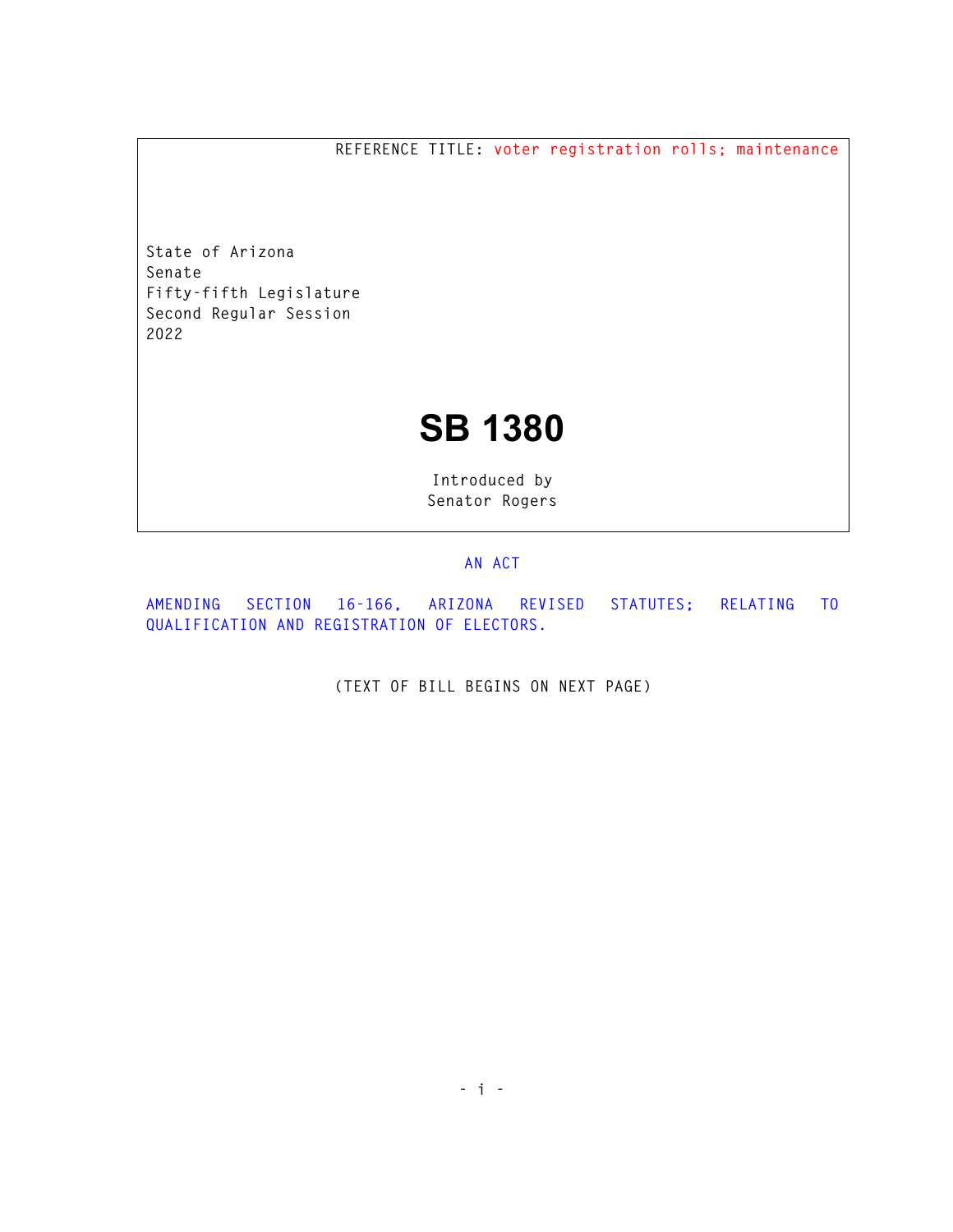**REFERENCE TITLE: voter registration rolls; maintenance** 

**State of Arizona Senate Fifty-fifth Legislature Second Regular Session 2022** 

## **SB 1380**

**Introduced by Senator Rogers** 

## **AN ACT**

**AMENDING SECTION 16-166, ARIZONA REVISED STATUTES; RELATING TO QUALIFICATION AND REGISTRATION OF ELECTORS.** 

**(TEXT OF BILL BEGINS ON NEXT PAGE)**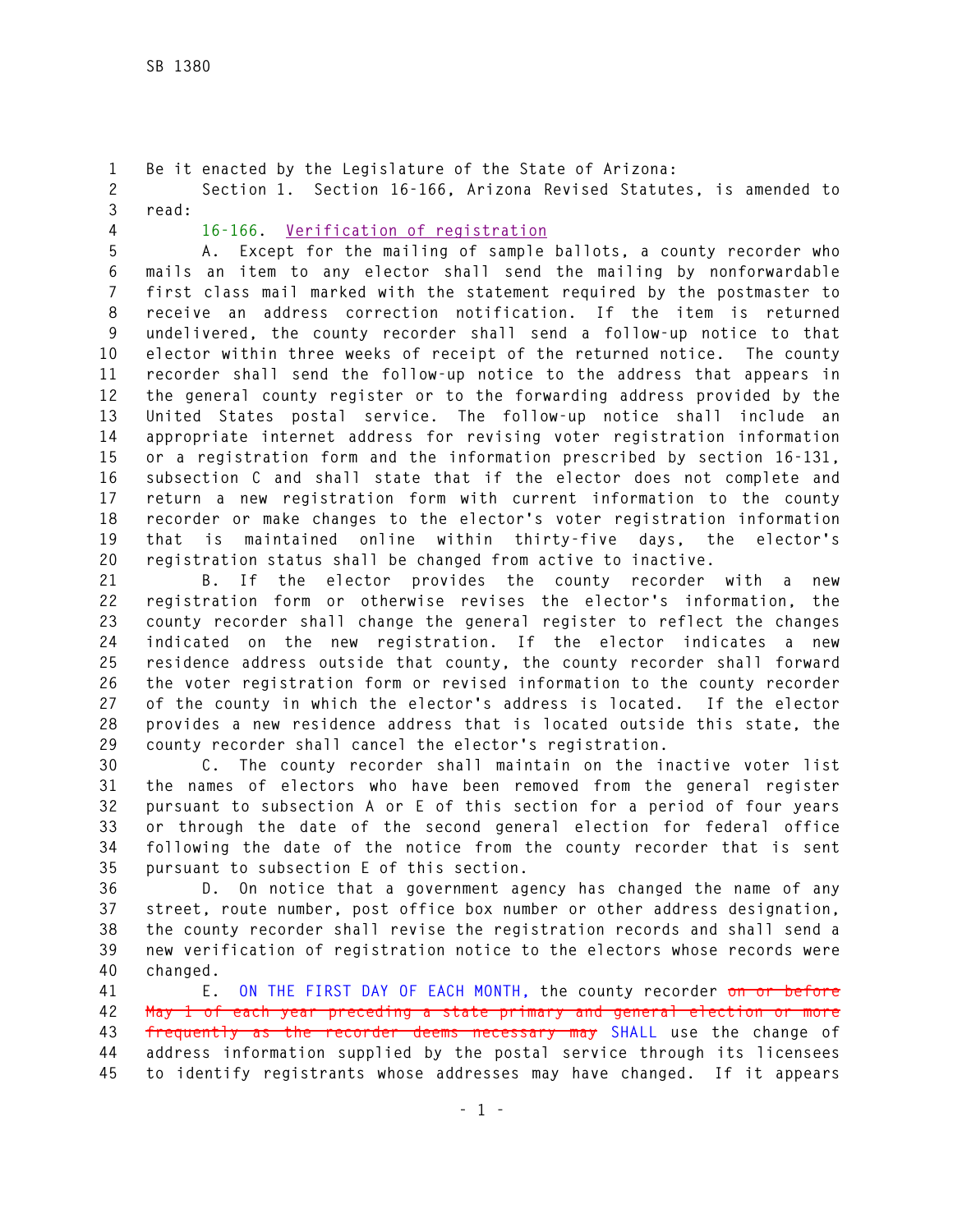**1 Be it enacted by the Legislature of the State of Arizona: 2 Section 1. Section 16-166, Arizona Revised Statutes, is amended to 3 read:** 

**4 16-166. Verification of registration**

**5 A. Except for the mailing of sample ballots, a county recorder who 6 mails an item to any elector shall send the mailing by nonforwardable 7 first class mail marked with the statement required by the postmaster to 8 receive an address correction notification. If the item is returned 9 undelivered, the county recorder shall send a follow-up notice to that 10 elector within three weeks of receipt of the returned notice. The county 11 recorder shall send the follow-up notice to the address that appears in 12 the general county register or to the forwarding address provided by the 13 United States postal service. The follow-up notice shall include an 14 appropriate internet address for revising voter registration information 15 or a registration form and the information prescribed by section 16-131, 16 subsection C and shall state that if the elector does not complete and 17 return a new registration form with current information to the county 18 recorder or make changes to the elector's voter registration information 19 that is maintained online within thirty-five days, the elector's 20 registration status shall be changed from active to inactive.** 

**21 B. If the elector provides the county recorder with a new 22 registration form or otherwise revises the elector's information, the 23 county recorder shall change the general register to reflect the changes 24 indicated on the new registration. If the elector indicates a new 25 residence address outside that county, the county recorder shall forward 26 the voter registration form or revised information to the county recorder 27 of the county in which the elector's address is located. If the elector 28 provides a new residence address that is located outside this state, the 29 county recorder shall cancel the elector's registration.** 

**30 C. The county recorder shall maintain on the inactive voter list 31 the names of electors who have been removed from the general register 32 pursuant to subsection A or E of this section for a period of four years 33 or through the date of the second general election for federal office 34 following the date of the notice from the county recorder that is sent 35 pursuant to subsection E of this section.** 

**36 D. On notice that a government agency has changed the name of any 37 street, route number, post office box number or other address designation, 38 the county recorder shall revise the registration records and shall send a 39 new verification of registration notice to the electors whose records were 40 changed.** 

**41 E. ON THE FIRST DAY OF EACH MONTH, the county recorder on or before 42 May 1 of each year preceding a state primary and general election or more 43 frequently as the recorder deems necessary may SHALL use the change of 44 address information supplied by the postal service through its licensees 45 to identify registrants whose addresses may have changed. If it appears**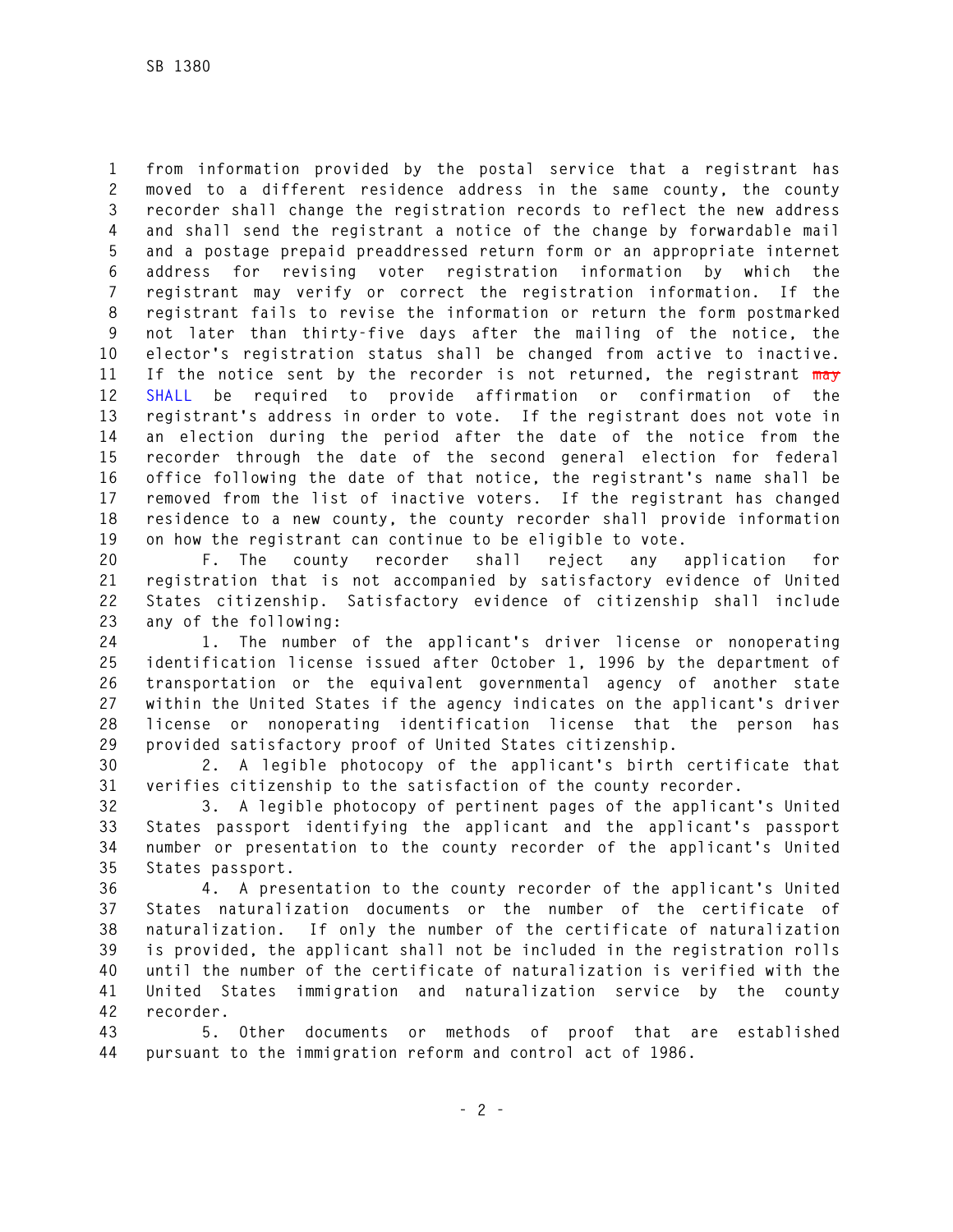**1 from information provided by the postal service that a registrant has 2 moved to a different residence address in the same county, the county 3 recorder shall change the registration records to reflect the new address 4 and shall send the registrant a notice of the change by forwardable mail 5 and a postage prepaid preaddressed return form or an appropriate internet 6 address for revising voter registration information by which the 7 registrant may verify or correct the registration information. If the 8 registrant fails to revise the information or return the form postmarked 9 not later than thirty-five days after the mailing of the notice, the 10 elector's registration status shall be changed from active to inactive. 11 If the notice sent by the recorder is not returned, the registrant may 12 SHALL be required to provide affirmation or confirmation of the 13 registrant's address in order to vote. If the registrant does not vote in 14 an election during the period after the date of the notice from the 15 recorder through the date of the second general election for federal 16 office following the date of that notice, the registrant's name shall be 17 removed from the list of inactive voters. If the registrant has changed 18 residence to a new county, the county recorder shall provide information 19 on how the registrant can continue to be eligible to vote.** 

**20 F. The county recorder shall reject any application for 21 registration that is not accompanied by satisfactory evidence of United 22 States citizenship. Satisfactory evidence of citizenship shall include 23 any of the following:** 

**24 1. The number of the applicant's driver license or nonoperating 25 identification license issued after October 1, 1996 by the department of 26 transportation or the equivalent governmental agency of another state 27 within the United States if the agency indicates on the applicant's driver 28 license or nonoperating identification license that the person has 29 provided satisfactory proof of United States citizenship.** 

**30 2. A legible photocopy of the applicant's birth certificate that 31 verifies citizenship to the satisfaction of the county recorder.** 

**32 3. A legible photocopy of pertinent pages of the applicant's United 33 States passport identifying the applicant and the applicant's passport 34 number or presentation to the county recorder of the applicant's United 35 States passport.** 

**36 4. A presentation to the county recorder of the applicant's United 37 States naturalization documents or the number of the certificate of 38 naturalization. If only the number of the certificate of naturalization 39 is provided, the applicant shall not be included in the registration rolls 40 until the number of the certificate of naturalization is verified with the 41 United States immigration and naturalization service by the county 42 recorder.** 

**43 5. Other documents or methods of proof that are established 44 pursuant to the immigration reform and control act of 1986.**